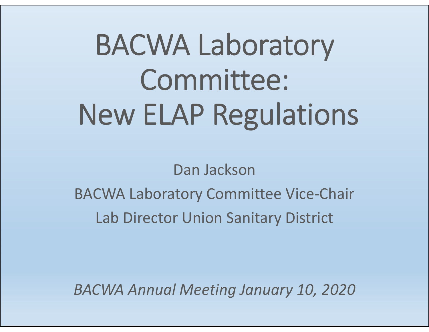# BACWA Laboratory Committee: New ELAP Regulations

Dan Jackson

BACWA Laboratory Committee Vice‐Chair Lab Director Union Sanitary District

*BACWA Annual Meeting January 10, 2020*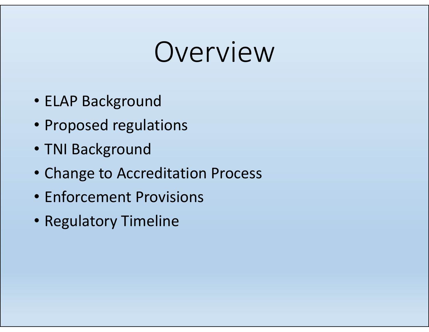## Overview

- ELAP Background
- Proposed regulations
- TNI Background
- Change to Accreditation Process
- Enforcement Provisions
- Regulatory Timeline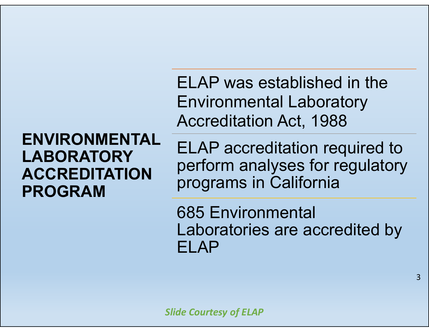**ENVIRONMENTAL LABORATORY ACCREDITATION PROGRAM**

ELAP was established in the Environmental Laboratory Accreditation Act, 1988

ELAP accreditation required to perform analyses for regulatory programs in California

685 Environmental Laboratories are accredited by ELAP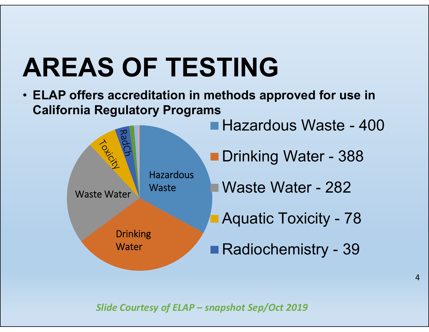## **AREAS OF TESTING**

• **ELAP offers accreditation in methods approved for use in California Regulatory Programs**



*Slide Courtesy of ELAP – snapshot Sep/Oct 2019*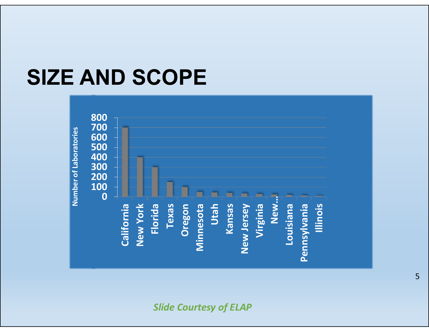#### **SIZE AND SCOPE**



*Slide Courtesy of ELAP*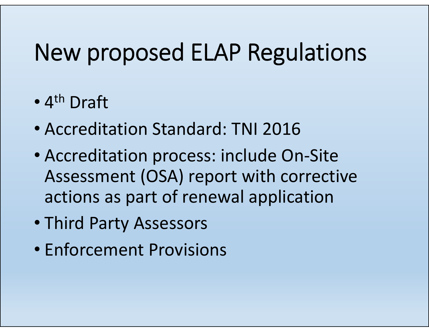#### New proposed ELAP Regulations

- •• 4<sup>th</sup> Draft
- Accreditation Standard: TNI 2016
- Accreditation process: include On‐Site Assessment (OSA) report with corrective actions as part of renewal application
- Third Party Assessors
- Enforcement Provisions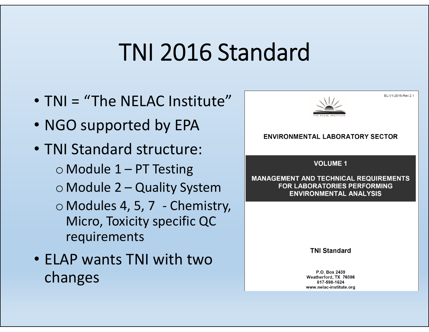#### TNI 2016 Standard

- TNI <sup>=</sup> "The NELAC Institute"
- NGO supported by EPA
- TNI Standard structure:
	- $\circ$  Module 1 PT Testing
	- o Module 2 Quality System
	- o Modules 4, 5, 7 ‐ Chemistry, Micro, Toxicity specific QC requirements
- ELAP wants TNI with twochanges

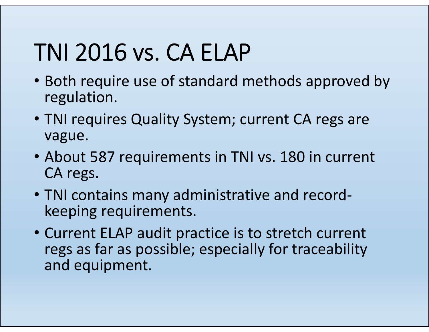### TNI 2016 vs. CA ELAP

- Both require use of standard methods approved by regulation.
- TNI requires Quality System; current CA regs are vague.
- About 587 requirements in TNI vs. 180 in current CA regs.
- TNI contains many administrative and record‐ keeping requirements.
- Current ELAP audit practice is to stretch current regs as far as possible; especially for traceability and equipment.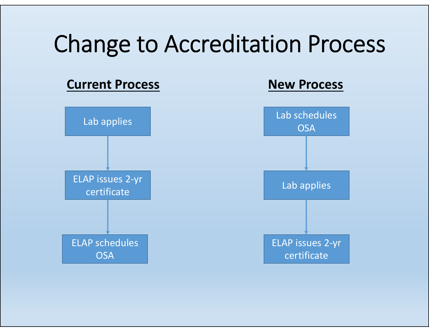#### Change to Accreditation Process

#### **Current Process**



#### **New Process**

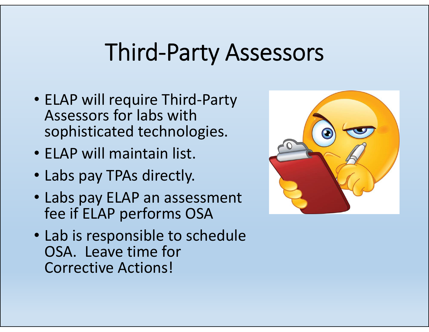#### Third‐Party Assessors

- ELAP will require Third‐Party Assessors for labs withsophisticated technologies.
- ELAP will maintain list.
- Labs pay TPAs directly.
- Labs pay ELAP an assessment fee if ELAP performs OSA
- Lab is responsible to schedule OSA. Leave time for Corrective Actions!

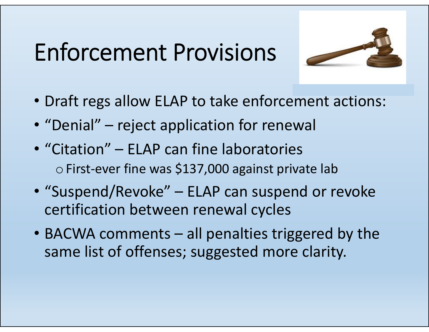### Enforcement Provisions



- Draft regs allow ELAP to take enforcement actions:
- "Denial" reject application for renewal
- "Citation" ELAP can fine laboratories  $\circ$  First-ever fine was \$137,000 against private lab
- "Suspend/Revoke" ELAP can suspend or revoke certification between renewal cycles
- BACWA comments all penalties triggered by the same list of offenses; suggested more clarity.